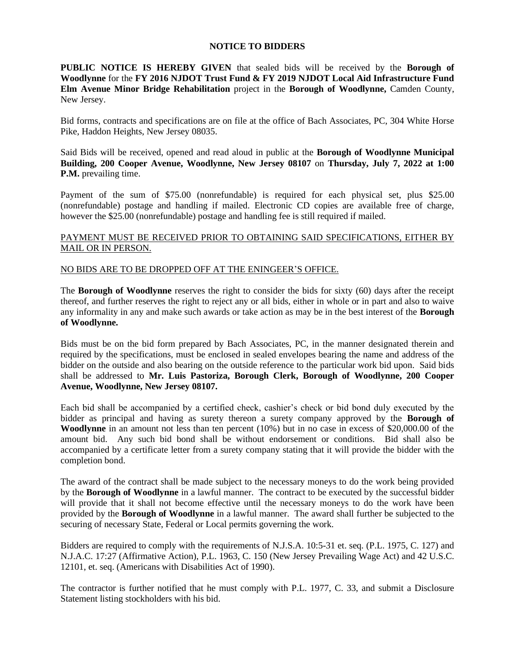## **NOTICE TO BIDDERS**

**PUBLIC NOTICE IS HEREBY GIVEN** that sealed bids will be received by the **Borough of Woodlynne** for the **FY 2016 NJDOT Trust Fund & FY 2019 NJDOT Local Aid Infrastructure Fund Elm Avenue Minor Bridge Rehabilitation** project in the **Borough of Woodlynne,** Camden County, New Jersey.

Bid forms, contracts and specifications are on file at the office of Bach Associates, PC, 304 White Horse Pike, Haddon Heights, New Jersey 08035.

Said Bids will be received, opened and read aloud in public at the **Borough of Woodlynne Municipal Building, 200 Cooper Avenue, Woodlynne, New Jersey 08107** on **Thursday, July 7, 2022 at 1:00 P.M.** prevailing time.

Payment of the sum of \$75.00 (nonrefundable) is required for each physical set, plus \$25.00 (nonrefundable) postage and handling if mailed. Electronic CD copies are available free of charge, however the \$25.00 (nonrefundable) postage and handling fee is still required if mailed.

## PAYMENT MUST BE RECEIVED PRIOR TO OBTAINING SAID SPECIFICATIONS, EITHER BY MAIL OR IN PERSON.

## NO BIDS ARE TO BE DROPPED OFF AT THE ENINGEER'S OFFICE.

The **Borough of Woodlynne** reserves the right to consider the bids for sixty (60) days after the receipt thereof, and further reserves the right to reject any or all bids, either in whole or in part and also to waive any informality in any and make such awards or take action as may be in the best interest of the **Borough of Woodlynne.**

Bids must be on the bid form prepared by Bach Associates, PC, in the manner designated therein and required by the specifications, must be enclosed in sealed envelopes bearing the name and address of the bidder on the outside and also bearing on the outside reference to the particular work bid upon. Said bids shall be addressed to **Mr. Luis Pastoriza, Borough Clerk, Borough of Woodlynne, 200 Cooper Avenue, Woodlynne, New Jersey 08107.**

Each bid shall be accompanied by a certified check, cashier's check or bid bond duly executed by the bidder as principal and having as surety thereon a surety company approved by the **Borough of Woodlynne** in an amount not less than ten percent (10%) but in no case in excess of \$20,000.00 of the amount bid. Any such bid bond shall be without endorsement or conditions. Bid shall also be accompanied by a certificate letter from a surety company stating that it will provide the bidder with the completion bond.

The award of the contract shall be made subject to the necessary moneys to do the work being provided by the **Borough of Woodlynne** in a lawful manner. The contract to be executed by the successful bidder will provide that it shall not become effective until the necessary moneys to do the work have been provided by the **Borough of Woodlynne** in a lawful manner. The award shall further be subjected to the securing of necessary State, Federal or Local permits governing the work.

Bidders are required to comply with the requirements of N.J.S.A. 10:5-31 et. seq. (P.L. 1975, C. 127) and N.J.A.C. 17:27 (Affirmative Action), P.L. 1963, C. 150 (New Jersey Prevailing Wage Act) and 42 U.S.C. 12101, et. seq. (Americans with Disabilities Act of 1990).

The contractor is further notified that he must comply with P.L. 1977, C. 33, and submit a Disclosure Statement listing stockholders with his bid.